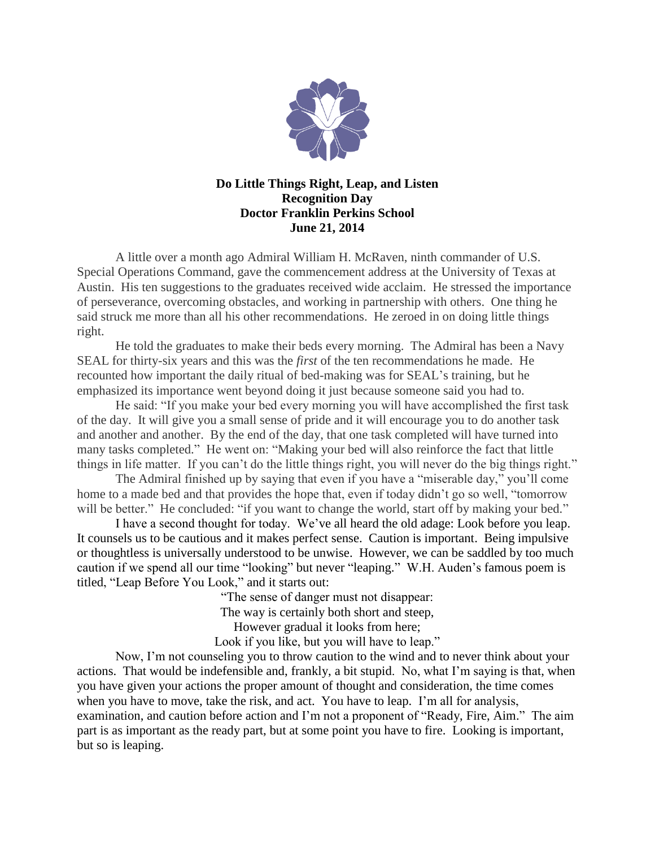

## **Do Little Things Right, Leap, and Listen Recognition Day Doctor Franklin Perkins School June 21, 2014**

A little over a month ago Admiral William H. McRaven, ninth commander of U.S. Special Operations Command, gave the commencement address at the University of Texas at Austin. His ten suggestions to the graduates received wide acclaim. He stressed the importance of perseverance, overcoming obstacles, and working in partnership with others. One thing he said struck me more than all his other recommendations. He zeroed in on doing little things right.

He told the graduates to make their beds every morning. The Admiral has been a Navy SEAL for thirty-six years and this was the *first* of the ten recommendations he made. He recounted how important the daily ritual of bed-making was for SEAL's training, but he emphasized its importance went beyond doing it just because someone said you had to.

He said: "If you make your bed every morning you will have accomplished the first task of the day. It will give you a small sense of pride and it will encourage you to do another task and another and another. By the end of the day, that one task completed will have turned into many tasks completed." He went on: "Making your bed will also reinforce the fact that little things in life matter. If you can't do the little things right, you will never do the big things right."

The Admiral finished up by saying that even if you have a "miserable day," you'll come home to a made bed and that provides the hope that, even if today didn't go so well, "tomorrow will be better." He concluded: "if you want to change the world, start off by making your bed."

I have a second thought for today. We've all heard the old adage: Look before you leap. It counsels us to be cautious and it makes perfect sense. Caution is important. Being impulsive or thoughtless is universally understood to be unwise. However, we can be saddled by too much caution if we spend all our time "looking" but never "leaping." W.H. Auden's famous poem is titled, "Leap Before You Look," and it starts out:

"The sense of danger must not disappear:

The way is certainly both short and steep,

However gradual it looks from here;

Look if you like, but you will have to leap."

Now, I'm not counseling you to throw caution to the wind and to never think about your actions. That would be indefensible and, frankly, a bit stupid. No, what I'm saying is that, when you have given your actions the proper amount of thought and consideration, the time comes when you have to move, take the risk, and act. You have to leap. I'm all for analysis, examination, and caution before action and I'm not a proponent of "Ready, Fire, Aim." The aim part is as important as the ready part, but at some point you have to fire. Looking is important, but so is leaping.